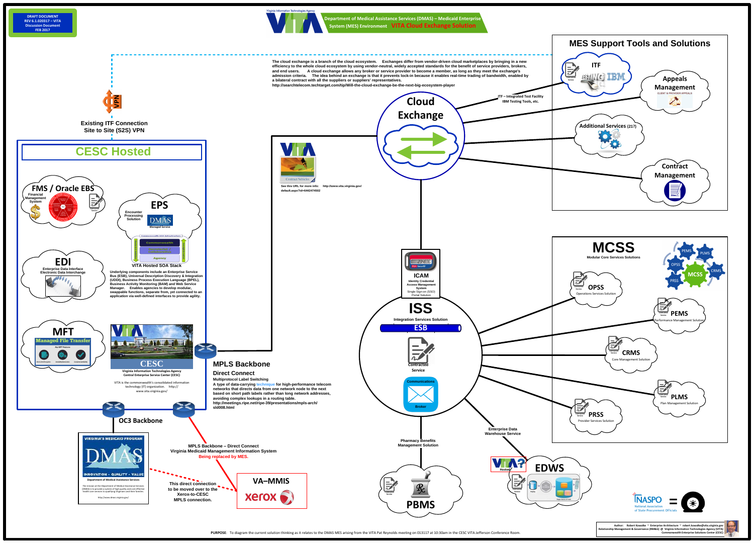**Author: Robert Kowalke ~ Enterprise Architecture ~ robert.kowalke@vita.virginia.gov Relationship Management & Governance (RM&G) @ Virginia Information Technologies Agency (VITA)**







### **EPS Encounter Processing** DMAS **Solution Managed Service** Commonwealth SOA Infrastructure **Commonwealth** Secretariat  $\ell$ **Collaborative Agency**

### **CESC**

**Virginia Information Technologies Agency Central Enterprise Service Center (CESC)**

VITA is the commonwealth's consolidated information technology (IT) organization. http:// www.vita.virginia.gov/

# **CESC Hosted**

**Direct Connect**

This direct connection **to be moved over to the Xerox-to-CESC MPLS connection.**

**sld008.html**

#### **VITA Hosted SOA Stack**

**Underlying components include an Enterprise Service Bus (ESB), Universal Description Discovery & Integration (UDDI), Business Process Execution Language (BPEL), Business Activity Monitoring (BAM) and Web Service Manager. Enables agencies to develop modular, swappable functions, separate from, yet connected to an application via well-defined interfaces to provide agility.**





**a bilateral contract with all the suppliers or suppliers' representatives.**

## **OC3 Backbone**

**MPLS Backbone – Direct Connect Virginia Medicaid Management Information System Being replaced by MES.**





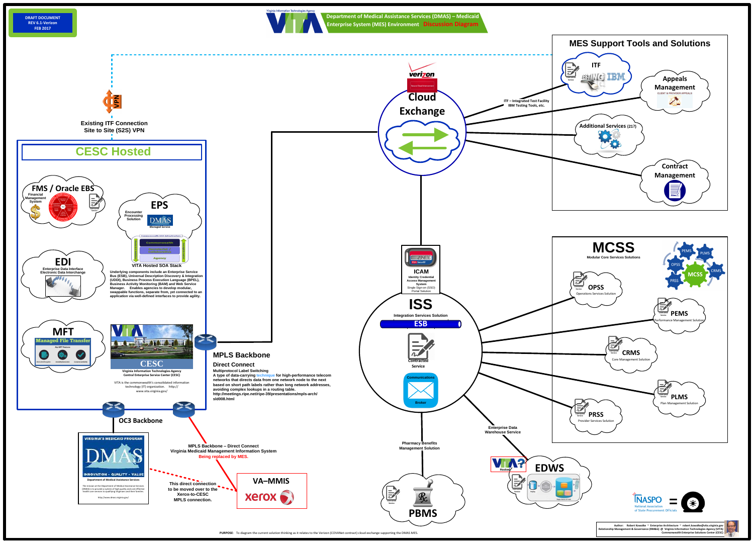**Author: Robert Kowalke ~ Enterprise Architecture ~ robert.kowalke@vita.virginia.gov Relationship Management & Governance (RM&G) @ Virginia Information Technologies Agency (VITA)**







X

#### **EPS Encounter Processing** DMAS **Solution Managed Service** Commonwealth SOA Infrastructure **Commonwealth** Secretariat  $\ell$ **Collaborative**

This direct connection **to be moved over to the Xerox-to-CESC MPLS connection.**



## **CESC**

**Virginia Information Technologies Agency Central Enterprise Service Center (CESC)**

VITA is the commonwealth's consolidated information technology (IT) organization. http:// www.vita.virginia.gov/





**VITA Hosted SOA Stack Underlying components include an Enterprise Service Bus (ESB), Universal Description Discovery & Integration (UDDI), Business Process Execution Language (BPEL), Business Activity Monitoring (BAM) and Web Service Manager. Enables agencies to develop modular,**

**Agency** 

**swappable functions, separate from, yet connected to an application via well-defined interfaces to provide agility.**

## **OC3 Backbone**

**MPLS Backbone – Direct Connect Virginia Medicaid Management Information System Being replaced by MES.**









# **CESC Hosted**

**sld008.html**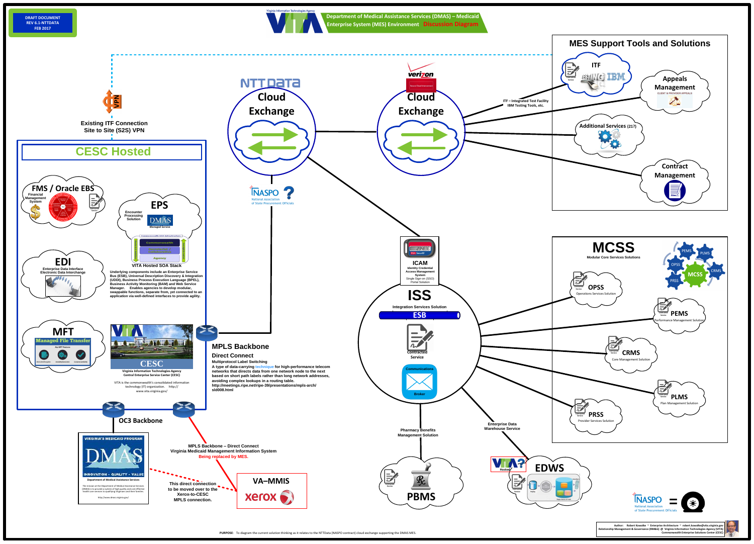**Author: Robert Kowalke ~ Enterprise Architecture ~ robert.kowalke@vita.virginia.gov Relationship Management & Governance (RM&G) @ Virginia Information Technologies Agency (VITA)**





**Virginia Information Technologies A** 

**Department of Medical Assistance Services**

**NNOVATION · QUALITY · VALUE** 

The mission at the Department of Medical Assistance Services (DMAS) is to provide a system of high quality and cost effective health care services to qualifying Virginians and their families.

http://www.dmas.virginia.gov/

This direct connection **to be moved over to the Xerox-to-CESC MPLS connection.**